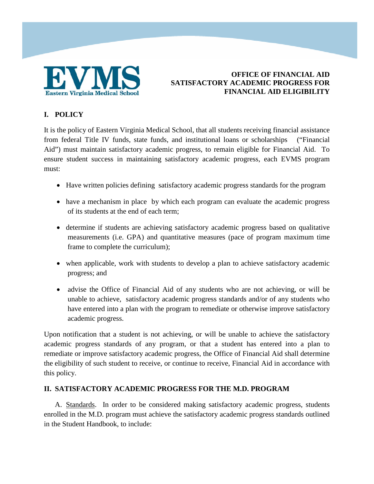

# **I. POLICY**

It is the policy of Eastern Virginia Medical School, that all students receiving financial assistance from federal Title IV funds, state funds, and institutional loans or scholarships ("Financial Aid") must maintain satisfactory academic progress, to remain eligible for Financial Aid. To ensure student success in maintaining satisfactory academic progress, each EVMS program must:

- Have written policies defining satisfactory academic progress standards for the program
- have a mechanism in place by which each program can evaluate the academic progress of its students at the end of each term;
- determine if students are achieving satisfactory academic progress based on qualitative measurements (i.e. GPA) and quantitative measures (pace of program maximum time frame to complete the curriculum);
- when applicable, work with students to develop a plan to achieve satisfactory academic progress; and
- advise the Office of Financial Aid of any students who are not achieving, or will be unable to achieve, satisfactory academic progress standards and/or of any students who have entered into a plan with the program to remediate or otherwise improve satisfactory academic progress.

Upon notification that a student is not achieving, or will be unable to achieve the satisfactory academic progress standards of any program, or that a student has entered into a plan to remediate or improve satisfactory academic progress, the Office of Financial Aid shall determine the eligibility of such student to receive, or continue to receive, Financial Aid in accordance with this policy.

### **II. SATISFACTORY ACADEMIC PROGRESS FOR THE M.D. PROGRAM**

A. Standards. In order to be considered making satisfactory academic progress, students enrolled in the M.D. program must achieve the satisfactory academic progress standards outlined in the Student Handbook, to include: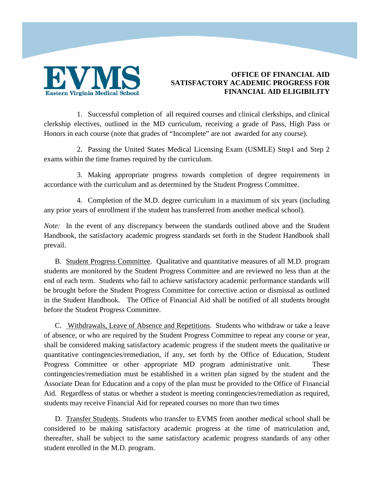

1. Successful completion of all required courses and clinical clerkships, and clinical clerkship electives, outlined in the MD curriculum, receiving a grade of Pass, High Pass or Honors in each course (note that grades of "Incomplete" are not awarded for any course).

2. Passing the United States Medical Licensing Exam (USMLE) Step1 and Step 2 exams within the time frames required by the curriculum.

3. Making appropriate progress towards completion of degree requirements in accordance with the curriculum and as determined by the Student Progress Committee.

4. Completion of the M.D. degree curriculum in a maximum of six years (including any prior years of enrollment if the student has transferred from another medical school).

*Note:* In the event of any discrepancy between the standards outlined above and the Student Handbook, the satisfactory academic progress standards set forth in the Student Handbook shall prevail.

B. Student Progress Committee. Qualitative and quantitative measures of all M.D. program students are monitored by the Student Progress Committee and are reviewed no less than at the end of each term. Students who fail to achieve satisfactory academic performance standards will be brought before the Student Progress Committee for corrective action or dismissal as outlined in the Student Handbook. The Office of Financial Aid shall be notified of all students brought before the Student Progress Committee.

C. Withdrawals, Leave of Absence and Repetitions. Students who withdraw or take a leave of absence, or who are required by the Student Progress Committee to repeat any course or year, shall be considered making satisfactory academic progress if the student meets the qualitative or quantitative contingencies/remediation, if any, set forth by the Office of Education, Student Progress Committee or other appropriate MD program administrative unit. These contingencies/remediation must be established in a written plan signed by the student and the Associate Dean for Education and a copy of the plan must be provided to the Office of Financial Aid. Regardless of status or whether a student is meeting contingencies/remediation as required, students may receive Financial Aid for repeated courses no more than two times

D. Transfer Students. Students who transfer to EVMS from another medical school shall be considered to be making satisfactory academic progress at the time of matriculation and, thereafter, shall be subject to the same satisfactory academic progress standards of any other student enrolled in the M.D. program.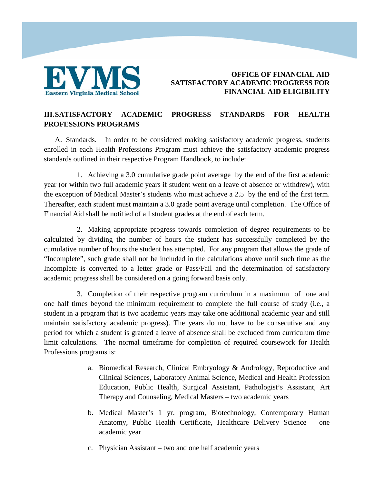

# **III.SATISFACTORY ACADEMIC PROGRESS STANDARDS FOR HEALTH PROFESSIONS PROGRAMS**

A. Standards.In order to be considered making satisfactory academic progress, students enrolled in each Health Professions Program must achieve the satisfactory academic progress standards outlined in their respective Program Handbook, to include:

1. Achieving a 3.0 cumulative grade point average by the end of the first academic year (or within two full academic years if student went on a leave of absence or withdrew), with the exception of Medical Master's students who must achieve a 2.5 by the end of the first term. Thereafter, each student must maintain a 3.0 grade point average until completion. The Office of Financial Aid shall be notified of all student grades at the end of each term.

2. Making appropriate progress towards completion of degree requirements to be calculated by dividing the number of hours the student has successfully completed by the cumulative number of hours the student has attempted. For any program that allows the grade of "Incomplete", such grade shall not be included in the calculations above until such time as the Incomplete is converted to a letter grade or Pass/Fail and the determination of satisfactory academic progress shall be considered on a going forward basis only.

3. Completion of their respective program curriculum in a maximum of one and one half times beyond the minimum requirement to complete the full course of study (i.e., a student in a program that is two academic years may take one additional academic year and still maintain satisfactory academic progress). The years do not have to be consecutive and any period for which a student is granted a leave of absence shall be excluded from curriculum time limit calculations. The normal timeframe for completion of required coursework for Health Professions programs is:

- a. Biomedical Research, Clinical Embryology & Andrology, Reproductive and Clinical Sciences, Laboratory Animal Science, Medical and Health Profession Education, Public Health, Surgical Assistant, Pathologist's Assistant, Art Therapy and Counseling, Medical Masters – two academic years
- b. Medical Master's 1 yr. program, Biotechnology, Contemporary Human Anatomy, Public Health Certificate, Healthcare Delivery Science – one academic year
- c. Physician Assistant two and one half academic years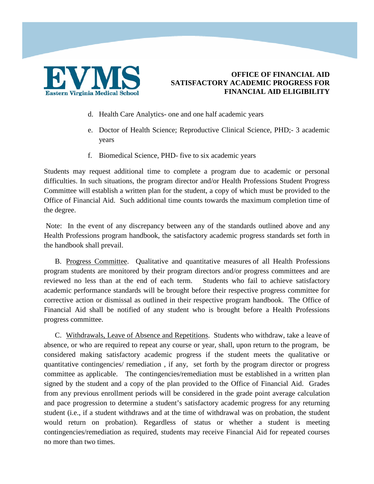

- d. Health Care Analytics- one and one half academic years
- e. Doctor of Health Science; Reproductive Clinical Science, PHD;- 3 academic years
- f. Biomedical Science, PHD- five to six academic years

Students may request additional time to complete a program due to academic or personal difficulties. In such situations, the program director and/or Health Professions Student Progress Committee will establish a written plan for the student, a copy of which must be provided to the Office of Financial Aid. Such additional time counts towards the maximum completion time of the degree.

Note: In the event of any discrepancy between any of the standards outlined above and any Health Professions program handbook, the satisfactory academic progress standards set forth in the handbook shall prevail.

B. Progress Committee. Qualitative and quantitative measures of all Health Professions program students are monitored by their program directors and/or progress committees and are reviewed no less than at the end of each term. Students who fail to achieve satisfactory academic performance standards will be brought before their respective progress committee for corrective action or dismissal as outlined in their respective program handbook. The Office of Financial Aid shall be notified of any student who is brought before a Health Professions progress committee.

C. Withdrawals, Leave of Absence and Repetitions. Students who withdraw, take a leave of absence, or who are required to repeat any course or year, shall, upon return to the program, be considered making satisfactory academic progress if the student meets the qualitative or quantitative contingencies/ remediation , if any, set forth by the program director or progress committee as applicable. The contingencies/remediation must be established in a written plan signed by the student and a copy of the plan provided to the Office of Financial Aid. Grades from any previous enrollment periods will be considered in the grade point average calculation and pace progression to determine a student's satisfactory academic progress for any returning student (i.e., if a student withdraws and at the time of withdrawal was on probation, the student would return on probation). Regardless of status or whether a student is meeting contingencies/remediation as required, students may receive Financial Aid for repeated courses no more than two times.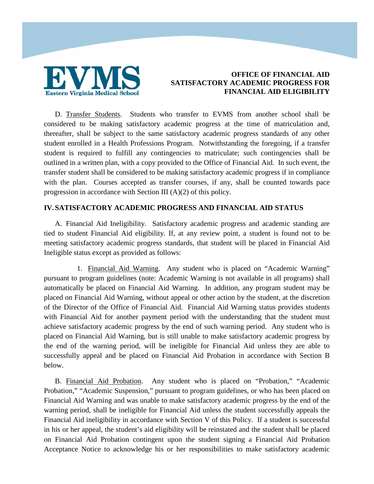

D. Transfer Students. Students who transfer to EVMS from another school shall be considered to be making satisfactory academic progress at the time of matriculation and, thereafter, shall be subject to the same satisfactory academic progress standards of any other student enrolled in a Health Professions Program. Notwithstanding the foregoing, if a transfer student is required to fulfill any contingencies to matriculate; such contingencies shall be outlined in a written plan, with a copy provided to the Office of Financial Aid. In such event, the transfer student shall be considered to be making satisfactory academic progress if in compliance with the plan. Courses accepted as transfer courses, if any, shall be counted towards pace progression in accordance with Section III (A)(2) of this policy.

#### **IV. SATISFACTORY ACADEMIC PROGRESS AND FINANCIAL AID STATUS**

A. Financial Aid Ineligibility. Satisfactory academic progress and academic standing are tied to student Financial Aid eligibility. If, at any review point, a student is found not to be meeting satisfactory academic progress standards, that student will be placed in Financial Aid Ineligible status except as provided as follows:

1. Financial Aid Warning.Any student who is placed on "Academic Warning" pursuant to program guidelines (note: Academic Warning is not available in all programs) shall automatically be placed on Financial Aid Warning. In addition, any program student may be placed on Financial Aid Warning, without appeal or other action by the student, at the discretion of the Director of the Office of Financial Aid. Financial Aid Warning status provides students with Financial Aid for another payment period with the understanding that the student must achieve satisfactory academic progress by the end of such warning period. Any student who is placed on Financial Aid Warning, but is still unable to make satisfactory academic progress by the end of the warning period, will be ineligible for Financial Aid unless they are able to successfully appeal and be placed on Financial Aid Probation in accordance with Section B below.

B. Financial Aid Probation. Any student who is placed on "Probation," "Academic Probation," "Academic Suspension," pursuant to program guidelines, or who has been placed on Financial Aid Warning and was unable to make satisfactory academic progress by the end of the warning period, shall be ineligible for Financial Aid unless the student successfully appeals the Financial Aid ineligibility in accordance with Section V of this Policy. If a student is successful in his or her appeal, the student's aid eligibility will be reinstated and the student shall be placed on Financial Aid Probation contingent upon the student signing a Financial Aid Probation Acceptance Notice to acknowledge his or her responsibilities to make satisfactory academic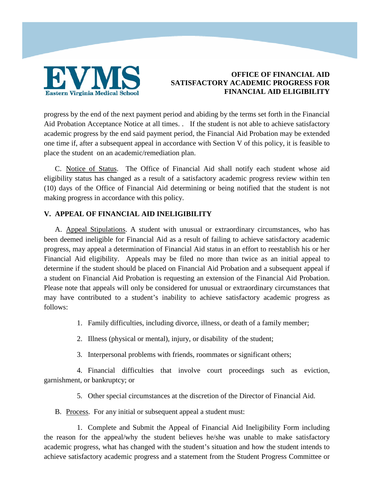

progress by the end of the next payment period and abiding by the terms set forth in the Financial Aid Probation Acceptance Notice at all times. . If the student is not able to achieve satisfactory academic progress by the end said payment period, the Financial Aid Probation may be extended one time if, after a subsequent appeal in accordance with Section V of this policy, it is feasible to place the student on an academic/remediation plan.

C. Notice of Status. The Office of Financial Aid shall notify each student whose aid eligibility status has changed as a result of a satisfactory academic progress review within ten (10) days of the Office of Financial Aid determining or being notified that the student is not making progress in accordance with this policy.

### **V. APPEAL OF FINANCIAL AID INELIGIBILITY**

A. Appeal Stipulations. A student with unusual or extraordinary circumstances, who has been deemed ineligible for Financial Aid as a result of failing to achieve satisfactory academic progress, may appeal a determination of Financial Aid status in an effort to reestablish his or her Financial Aid eligibility. Appeals may be filed no more than twice as an initial appeal to determine if the student should be placed on Financial Aid Probation and a subsequent appeal if a student on Financial Aid Probation is requesting an extension of the Financial Aid Probation. Please note that appeals will only be considered for unusual or extraordinary circumstances that may have contributed to a student's inability to achieve satisfactory academic progress as follows:

1. Family difficulties, including divorce, illness, or death of a family member;

- 2. Illness (physical or mental), injury, or disability of the student;
- 3. Interpersonal problems with friends, roommates or significant others;

4. Financial difficulties that involve court proceedings such as eviction, garnishment, or bankruptcy; or

5. Other special circumstances at the discretion of the Director of Financial Aid.

B. Process. For any initial or subsequent appeal a student must:

1. Complete and Submit the Appeal of Financial Aid Ineligibility Form including the reason for the appeal/why the student believes he/she was unable to make satisfactory academic progress, what has changed with the student's situation and how the student intends to achieve satisfactory academic progress and a statement from the Student Progress Committee or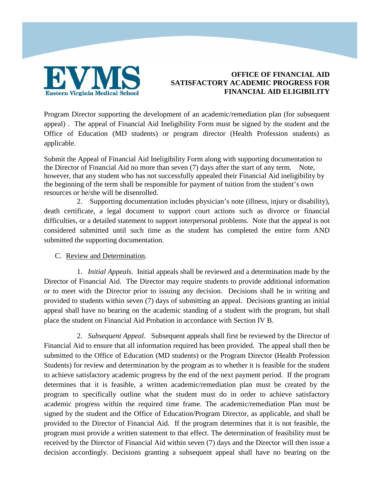

Program Director supporting the development of an academic/remediation plan (for subsequent appeal) . The appeal of Financial Aid Ineligibility Form must be signed by the student and the Office of Education (MD students) or program director (Health Profession students) as applicable.

Submit the Appeal of Financial Aid Ineligibility Form along with supporting documentation to the Director of Financial Aid no more than seven (7) days after the start of any term. Note, however, that any student who has not successfully appealed their Financial Aid ineligibility by the beginning of the term shall be responsible for payment of tuition from the student's own resources or he/she will be disenrolled.

2. Supporting documentation includes physician's note (illness, injury or disability), death certificate, a legal document to support court actions such as divorce or financial difficulties, or a detailed statement to support interpersonal problems. Note that the appeal is not considered submitted until such time as the student has completed the entire form AND submitted the supporting documentation.

### C. Review and Determination.

1. *Initial Appeals*. Initial appeals shall be reviewed and a determination made by the Director of Financial Aid. The Director may require students to provide additional information or to meet with the Director prior to issuing any decision. Decisions shall be in writing and provided to students within seven (7) days of submitting an appeal. Decisions granting an initial appeal shall have no bearing on the academic standing of a student with the program, but shall place the student on Financial Aid Probation in accordance with Section IV B.

2. *Subsequent Appeal*. Subsequent appeals shall first be reviewed by the Director of Financial Aid to ensure that all information required has been provided. The appeal shall then be submitted to the Office of Education (MD students) or the Program Director (Health Profession Students) for review and determination by the program as to whether it is feasible for the student to achieve satisfactory academic progress by the end of the next payment period. If the program determines that it is feasible, a written academic/remediation plan must be created by the program to specifically outline what the student must do in order to achieve satisfactory academic progress within the required time frame. The academic/remediation Plan must be signed by the student and the Office of Education/Program Director, as applicable, and shall be provided to the Director of Financial Aid. If the program determines that it is not feasible, the program must provide a written statement to that effect. The determination of feasibility must be received by the Director of Financial Aid within seven (7) days and the Director will then issue a decision accordingly. Decisions granting a subsequent appeal shall have no bearing on the